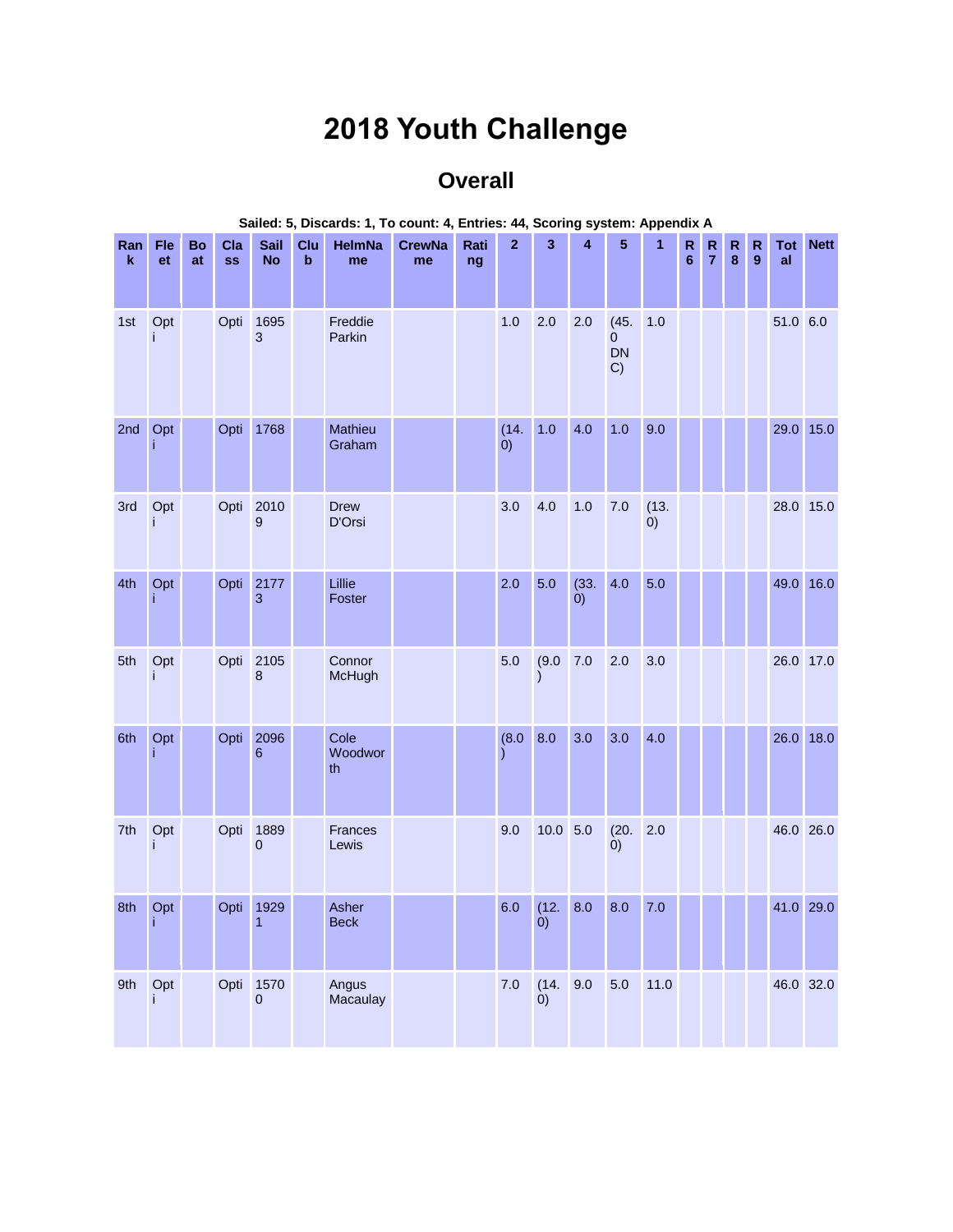## **2018 Youth Challenge**

## **Overall**

| Ran<br>k | Fle<br>et | Bo<br>at | Cla<br><b>SS</b> | <b>Sail</b><br><b>No</b> | Clu<br>b | HelmNa<br>me          | <b>CrewNa</b><br>me | Rati<br>ng | $\mathbf{2}$ | 3                      | 4                 | 5                                | 1           | $\mathsf R$<br>6 | R<br>$\overline{7}$ | R<br>$\pmb{8}$ | $\mathsf{R}$<br>$\overline{9}$ | al        | <b>Tot Nett</b> |
|----------|-----------|----------|------------------|--------------------------|----------|-----------------------|---------------------|------------|--------------|------------------------|-------------------|----------------------------------|-------------|------------------|---------------------|----------------|--------------------------------|-----------|-----------------|
| 1st      | Opt<br>j  |          | Opti             | 1695<br>3                |          | Freddie<br>Parkin     |                     |            | 1.0          | 2.0                    | 2.0               | (45.<br>$\mathbf{0}$<br>DN<br>C) | 1.0         |                  |                     |                |                                | 51.0 6.0  |                 |
| 2nd      | Opt       |          | Opti             | 1768                     |          | Mathieu<br>Graham     |                     |            | (14.<br>(0)  | 1.0                    | 4.0               | 1.0                              | 9.0         |                  |                     |                |                                | 29.0 15.0 |                 |
| 3rd      | Opt<br>j  |          | Opti             | 2010<br>9                |          | <b>Drew</b><br>D'Orsi |                     |            | 3.0          | 4.0                    | 1.0               | 7.0                              | (13.<br>(0) |                  |                     |                |                                | 28.0 15.0 |                 |
| 4th      | Opt<br>j  |          | Opti             | 2177<br>3                |          | Lillie<br>Foster      |                     |            | 2.0          | 5.0                    | (33.<br>$\dot{0}$ | 4.0                              | 5.0         |                  |                     |                |                                | 49.0 16.0 |                 |
| 5th      | Opt<br>j  |          | Opti             | 2105<br>8                |          | Connor<br>McHugh      |                     |            | 5.0          | (9.0)<br>I             | 7.0               | 2.0                              | 3.0         |                  |                     |                |                                | 26.0 17.0 |                 |
| 6th      | Opt       |          | Opti             | 2096<br>6                |          | Cole<br>Woodwor<br>th |                     |            | (8.0)        | 8.0                    | 3.0               | 3.0                              | 4.0         |                  |                     |                |                                | 26.0 18.0 |                 |
| 7th      | Opt<br>j  |          | Opti             | 1889<br>$\mathbf{0}$     |          | Frances<br>Lewis      |                     |            | 9.0          | $10.0$ 5.0             |                   | (20.<br>(0)                      | 2.0         |                  |                     |                |                                | 46.0 26.0 |                 |
| 8th      | Opt       |          | Opti             | 1929<br>$\mathbf{1}$     |          | Asher<br><b>Beck</b>  |                     |            | 6.0          | (12.<br>0)             | 8.0               | 8.0                              | 7.0         |                  |                     |                |                                | 41.0 29.0 |                 |
| 9th      | Opt<br>j. |          |                  | Opti 1570<br>$\pmb{0}$   |          | Angus<br>Macaulay     |                     |            | $7.0$        | (14. 9.0)<br>$\dot{0}$ |                   | 5.0                              | 11.0        |                  |                     |                |                                | 46.0 32.0 |                 |

## **Sailed: 5, Discards: 1, To count: 4, Entries: 44, Scoring system: Appendix A**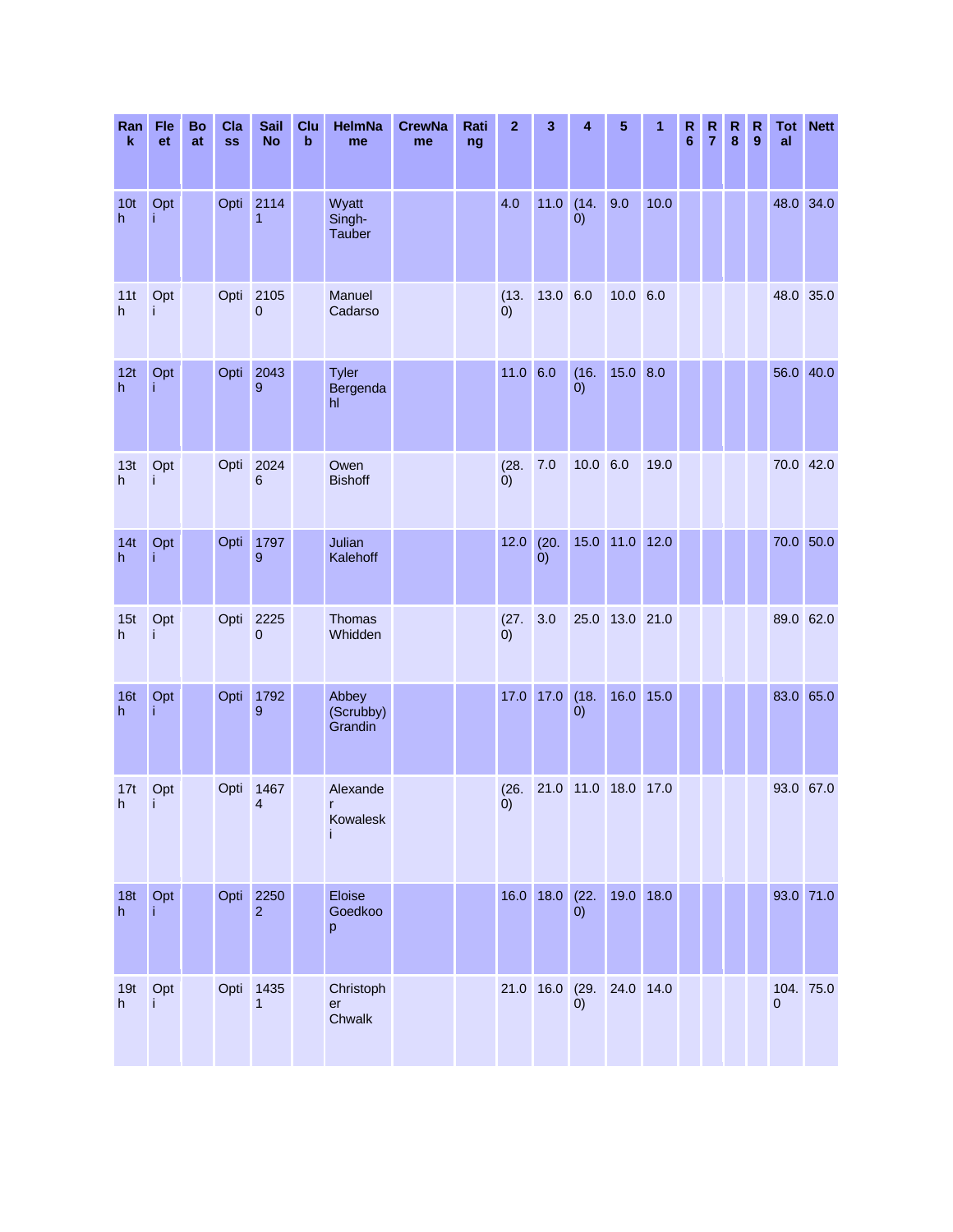| Ran<br>k             | Fle<br>et | Bo<br>at | Cla<br><b>SS</b> | <b>Sail</b><br><b>No</b> | Clu<br>$\mathbf b$ | HelmNa<br>me                         | <b>CrewNa</b><br>me | Rati<br>ng | $\mathbf{2}$   | 3                 | 4                         | 5              | 1    | R<br>6 | ${\sf R}$<br>$\overline{7}$ | R<br>8 | $\mathsf R$<br>9 | Tot<br>al      | <b>Nett</b> |
|----------------------|-----------|----------|------------------|--------------------------|--------------------|--------------------------------------|---------------------|------------|----------------|-------------------|---------------------------|----------------|------|--------|-----------------------------|--------|------------------|----------------|-------------|
| 10 <sub>t</sub><br>h | Opt       |          | Opti             | 2114<br>1                |                    | Wyatt<br>Singh-<br><b>Tauber</b>     |                     |            | 4.0            | $11.0$            | (14.<br>(0)               | 9.0            | 10.0 |        |                             |        |                  | 48.0 34.0      |             |
| 11t<br>h             | Opt<br>j  |          | Opti             | 2105<br>$\overline{0}$   |                    | Manuel<br>Cadarso                    |                     |            | (13.<br>(0)    | 13.0 6.0          |                           | $10.0\ 6.0$    |      |        |                             |        |                  | 48.0 35.0      |             |
| 12t<br>h             | Opt       |          | Opti             | 2043<br>9                |                    | Tyler<br>Bergenda<br>hl              |                     |            | $11.0$ 6.0     |                   | (16.<br>$\left( 0\right)$ | $15.0$ 8.0     |      |        |                             |        |                  |                | 56.0 40.0   |
| 13t<br>h             | Opt<br>j  |          | Opti             | 2024<br>6                |                    | Owen<br><b>Bishoff</b>               |                     |            | (28.<br>(0)    | 7.0               | $10.0\ 6.0$               |                | 19.0 |        |                             |        |                  | 70.0 42.0      |             |
| 14t<br>h             | Opt<br>j. |          | Opti             | 1797<br>9                |                    | Julian<br>Kalehoff                   |                     |            | 12.0           | (20.<br>$\dot{0}$ | 15.0                      | $11.0$         | 12.0 |        |                             |        |                  | 70.0           | 50.0        |
| 15t<br>h             | Opt<br>Ť  |          | Opti             | 2225<br>$\mathbf{0}$     |                    | Thomas<br>Whidden                    |                     |            | $^{(27)}_{0)}$ | 3.0               |                           | 25.0 13.0 21.0 |      |        |                             |        |                  | 89.0 62.0      |             |
| 16t<br>h             | Opt<br>Ť  |          | Opti             | 1792<br>9                |                    | Abbey<br>(Scrubby)<br>Grandin        |                     |            | 17.0           | 17.0              | (18.<br>(0)               | 16.0           | 15.0 |        |                             |        |                  |                | 83.0 65.0   |
| 17t<br>h             | Opt<br>÷  |          | Opti             | 1467<br>$\overline{4}$   |                    | Alexande<br>$\mathsf{r}$<br>Kowalesk |                     |            | (26.<br>(0)    |                   | 21.0 11.0 18.0 17.0       |                |      |        |                             |        |                  | 93.0 67.0      |             |
| 18t<br>h             | Opt       |          | Opti             | 2250<br>$\overline{2}$   |                    | Eloise<br>Goedkoo<br>p               |                     |            |                | 16.0 18.0 (22.    | (0)                       | 19.0 18.0      |      |        |                             |        |                  |                | 93.0 71.0   |
| 19t<br>h             | Opt       |          | Opti             | 1435<br>1                |                    | Christoph<br>er<br>Chwalk            |                     |            |                | 21.0 16.0 (29.    | (0)                       | 24.0 14.0      |      |        |                             |        |                  | $\overline{0}$ | 104. 75.0   |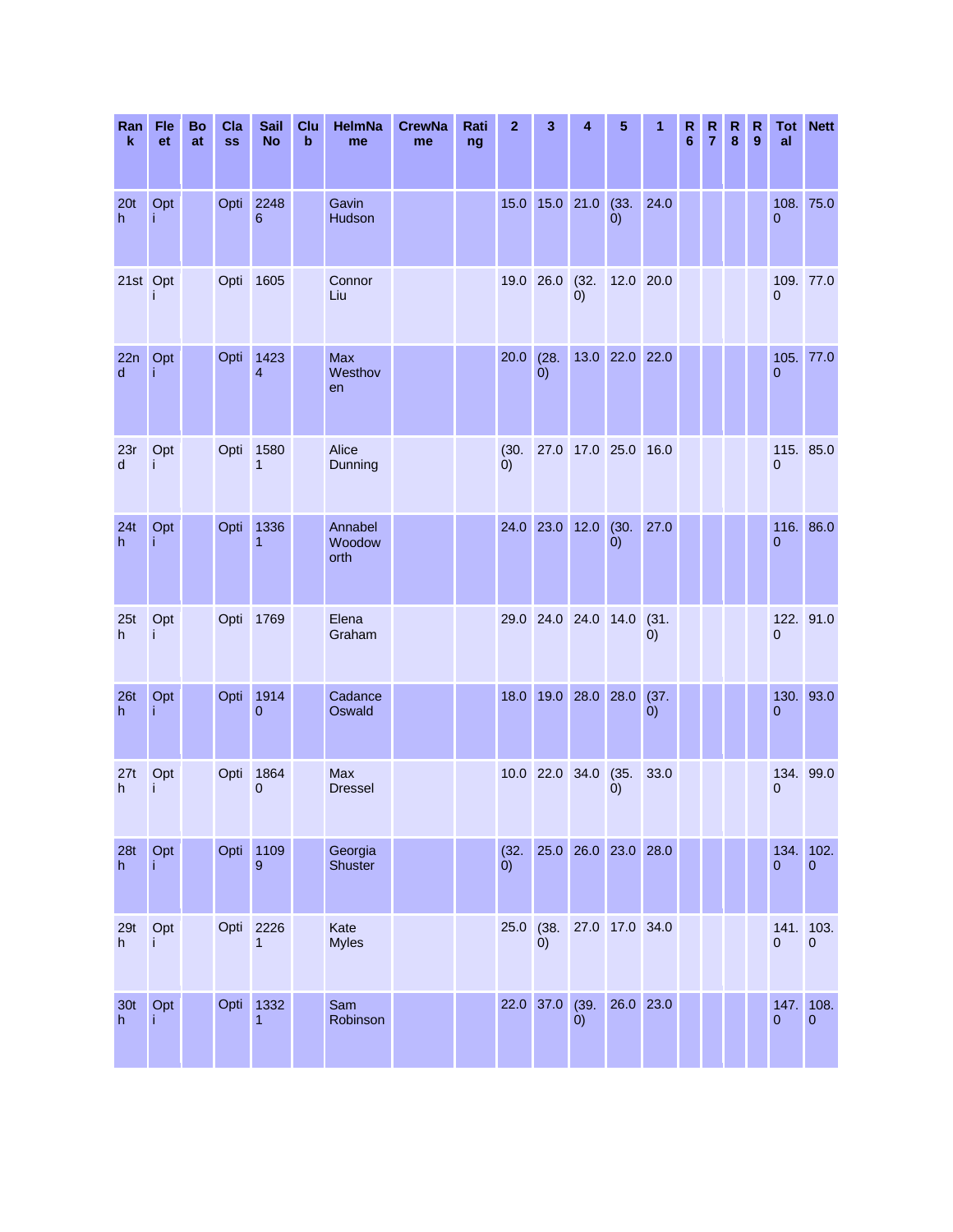| Ran<br>$\mathbf k$    | Fle<br>et | Bo<br>at | Cla<br><b>SS</b> | Sail<br><b>No</b>      | Clu<br>$\mathbf b$ | <b>HelmNa</b><br>me       | <b>CrewNa</b><br>me | Rati<br>ng | $\mathbf{2}$      | 3                  | 4                   | 5              | 1                 | R<br>$6\phantom{1}6$ | R<br>$\overline{7}$ | R<br>$\bf{8}$ | R<br>9 | Tot<br>al                   | <b>Nett</b>          |
|-----------------------|-----------|----------|------------------|------------------------|--------------------|---------------------------|---------------------|------------|-------------------|--------------------|---------------------|----------------|-------------------|----------------------|---------------------|---------------|--------|-----------------------------|----------------------|
| 20 <sub>t</sub><br>h. | Opt       |          | Opti             | 2248<br>6              |                    | Gavin<br>Hudson           |                     |            | 15.0              | 15.0 21.0          |                     | (33.<br>(0)    | 24.0              |                      |                     |               |        | 108. 75.0<br>$\overline{0}$ |                      |
| 21st Opt              | j         |          |                  | Opti 1605              |                    | Connor<br>Liu             |                     |            |                   | 19.0 26.0          | (32.<br>(0)         | 12.0 20.0      |                   |                      |                     |               |        | 109. 77.0<br>$\overline{0}$ |                      |
| 22n<br>d              | Opt<br>Ť  |          | Opti             | 1423<br>$\overline{4}$ |                    | Max<br>Westhov<br>en      |                     |            | 20.0              | (28.<br>$\ddot{0}$ |                     | 13.0 22.0 22.0 |                   |                      |                     |               |        | 0                           | 105. 77.0            |
| 23r<br>d              | Opt<br>Ť  |          | Opti             | 1580<br>1              |                    | Alice<br>Dunning          |                     |            | (30.<br>(0)       |                    | 27.0 17.0 25.0 16.0 |                |                   |                      |                     |               |        | 115. 85.0<br>0              |                      |
| 24t<br>h              | Opt<br>j  |          | Opti             | 1336<br>$\mathbf{1}$   |                    | Annabel<br>Woodow<br>orth |                     |            |                   | 24.0 23.0 12.0     |                     | (30.<br>(0)    | 27.0              |                      |                     |               |        | 116. 86.0<br>0              |                      |
| 25t<br>h              | Opt<br>Ť  |          |                  | Opti 1769              |                    | Elena<br>Graham           |                     |            |                   |                    | 29.0 24.0 24.0 14.0 |                | (31.<br>$\dot{0}$ |                      |                     |               |        | 122. 91.0<br>0              |                      |
| 26t<br>h              | Opt<br>Ť  |          | Opti             | 1914<br>$\overline{0}$ |                    | Cadance<br>Oswald         |                     |            | 18.0              |                    | 19.0 28.0 28.0      |                | (37.<br>(0)       |                      |                     |               |        | 0                           | 130. 93.0            |
| 27t<br>h              | Opt<br>j  |          | Opti             | 1864<br>$\overline{0}$ |                    | Max<br><b>Dressel</b>     |                     |            |                   |                    | 10.0 22.0 34.0 (35. | (0)            | 33.0              |                      |                     |               |        | 134. 99.0<br>0              |                      |
| 28t<br>h              | Opt<br>Ť  |          | Opti             | 1109<br>9              |                    | Georgia<br>Shuster        |                     |            | (32.<br>$\dot{0}$ |                    | 25.0 26.0 23.0 28.0 |                |                   |                      |                     |               |        | 134.<br>$\pmb{0}$           | 102.<br>$\mathbf{0}$ |
| 29t<br>h              | Opt<br>İ  |          | Opti             | 2226<br>1              |                    | Kate<br><b>Myles</b>      |                     |            | 25.0              | (38.<br>(0)        |                     | 27.0 17.0 34.0 |                   |                      |                     |               |        | 141. 103.<br>$\mathbf 0$    | $\pmb{0}$            |
| 30 <sub>t</sub><br>h. | Opt<br>Ť  |          | Opti             | 1332<br>$\mathbf{1}$   |                    | Sam<br>Robinson           |                     |            |                   | 22.0 37.0          | (39.<br>(0)         | 26.0 23.0      |                   |                      |                     |               |        | 147.<br>0                   | 108.<br>$\bf 0$      |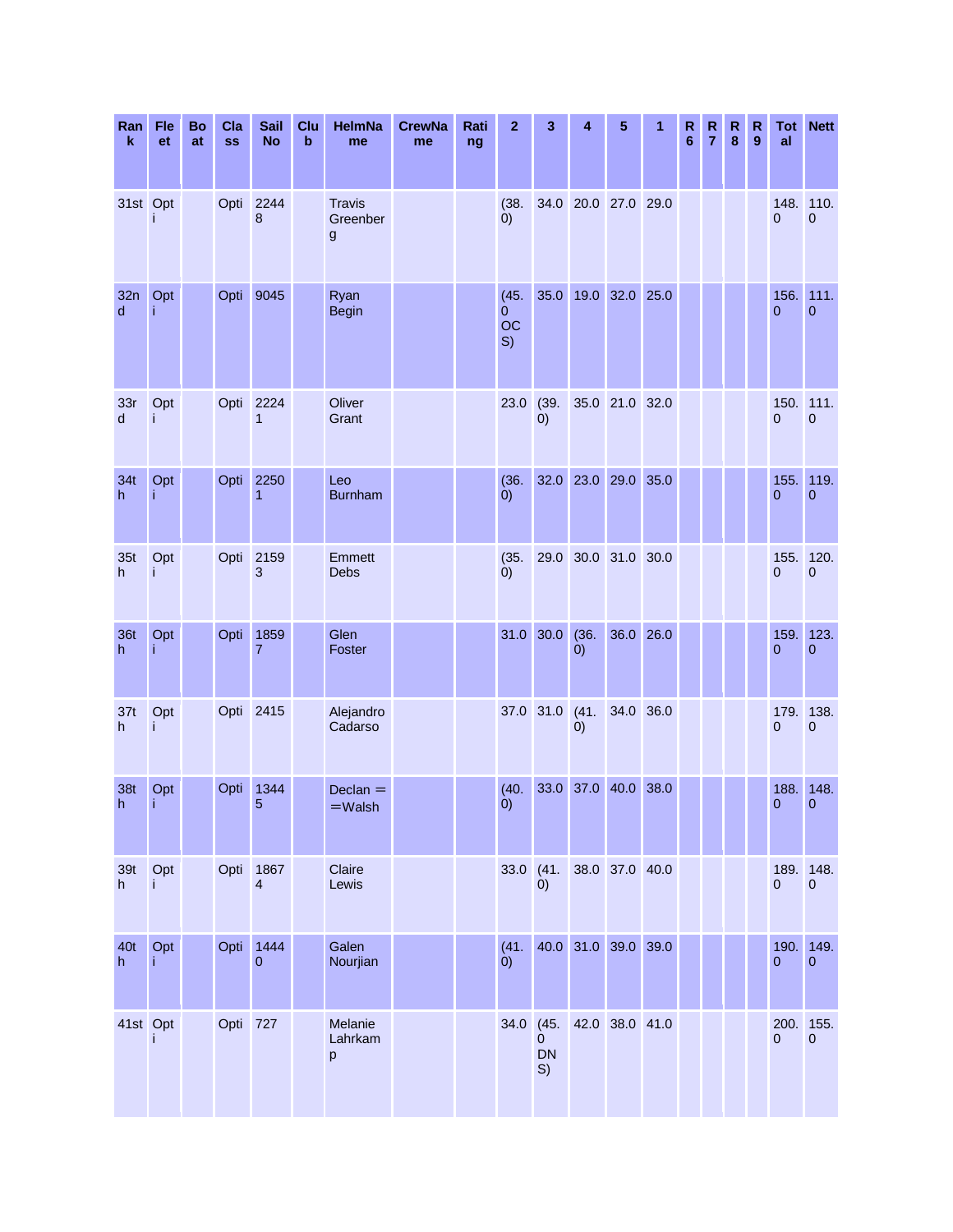| Ran<br>k            | Fle<br><b>et</b> | Bo<br>at | Cla<br><b>SS</b> | <b>Sail</b><br><b>No</b>        | Clu<br>$\mathbf b$ | <b>HelmNa</b><br>me                       | <b>CrewNa</b><br>me | Rati<br>ng | $\mathbf{z}$          | 3                            | 4                   | 5              | 1 | R<br>6 | R<br>$\overline{7}$ | ${\sf R}$<br>8 | $\mathsf{R}$<br>9 | Tot<br>al                   | <b>Nett</b>              |
|---------------------|------------------|----------|------------------|---------------------------------|--------------------|-------------------------------------------|---------------------|------------|-----------------------|------------------------------|---------------------|----------------|---|--------|---------------------|----------------|-------------------|-----------------------------|--------------------------|
| 31st Opt            |                  |          | Opti             | 2244<br>8                       |                    | <b>Travis</b><br>Greenber<br>$\mathsf{g}$ |                     |            | (38.<br>(0)           |                              | 34.0 20.0 27.0 29.0 |                |   |        |                     |                |                   | $\overline{0}$              | 148. 110.<br>$\mathbf 0$ |
| 32n<br>$\mathsf{d}$ | Opt<br>j         |          | Opti             | 9045                            |                    | Ryan<br><b>Begin</b>                      |                     |            | (45.<br>0<br>OC<br>S) | 35.0                         |                     | 19.0 32.0 25.0 |   |        |                     |                |                   | 156.<br>$\overline{0}$      | 111.<br>$\overline{0}$   |
| 33r<br>d            | Opt<br>İ         |          | Opti             | 2224<br>1                       |                    | Oliver<br>Grant                           |                     |            | 23.0                  | (39.<br>(0)                  |                     | 35.0 21.0 32.0 |   |        |                     |                |                   | $\overline{0}$              | 150. 111.<br>$\mathbf 0$ |
| 34t<br>h            | Opt<br>Ť         |          | Opti             | 2250<br>$\mathbf{1}$            |                    | Leo<br><b>Burnham</b>                     |                     |            | (36.<br>(0)           |                              | 32.0 23.0 29.0 35.0 |                |   |        |                     |                |                   | 155.<br>$\overline{0}$      | 119.<br>0                |
| 35t<br>h.           | Opt<br>i         |          | Opti             | 2159<br>3                       |                    | Emmett<br>Debs                            |                     |            | (35.<br>(0)           | 29.0                         |                     | 30.0 31.0 30.0 |   |        |                     |                |                   | 155.<br>$\overline{0}$      | 120.<br>0                |
| <b>36t</b><br>h     | Opt              |          | Opti             | 1859<br>$\overline{7}$          |                    | Glen<br>Foster                            |                     |            |                       | 31.0 30.0                    | (36.<br>0)          | 36.0 26.0      |   |        |                     |                |                   | 159.<br>$\overline{0}$      | 123.<br>0                |
| 37t<br>h            | Opt<br>Ť         |          |                  | Opti 2415                       |                    | Alejandro<br>Cadarso                      |                     |            | 37.0 31.0             |                              | (41.<br>0)          | 34.0 36.0      |   |        |                     |                |                   | 179.<br>$\mathbf 0$         | 138.<br>$\mathbf 0$      |
| 38t<br>h            | Opt<br>Ť.        |          | Opti             | 1344<br>5                       |                    | $Declan =$<br>$=W$ alsh                   |                     |            | (40.<br>(0)           |                              | 33.0 37.0 40.0 38.0 |                |   |        |                     |                |                   | 188.<br>$\overline{0}$      | 148.<br>0                |
| 39t<br>h            | Opt<br>j.        |          | Opti             | 1867<br>$\overline{\mathbf{4}}$ |                    | Claire<br>Lewis                           |                     |            | $33.0$ (41.           | 0)                           |                     | 38.0 37.0 40.0 |   |        |                     |                |                   | $\pmb{0}$                   | 189. 148.<br>$\pmb{0}$   |
| 40t<br>h            | Opt<br>Ť         |          | Opti             | 1444<br>$\pmb{0}$               |                    | Galen<br>Nourjian                         |                     |            | (41.<br>$\dot{0}$     |                              | 40.0 31.0 39.0 39.0 |                |   |        |                     |                |                   | $\pmb{0}$                   | 190. 149.<br>0           |
| 41st Opt            |                  |          | Opti 727         |                                 |                    | Melanie<br>Lahrkam<br>p                   |                     |            | 34.0                  | (45.<br>0<br><b>DN</b><br>S) |                     | 42.0 38.0 41.0 |   |        |                     |                |                   | 200. 155.<br>$\overline{0}$ | $\pmb{0}$                |